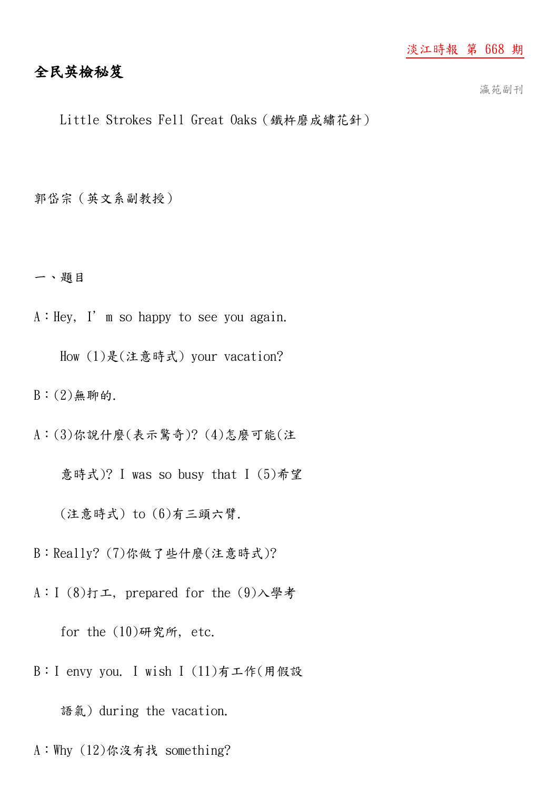## 淡江時報 第 668 期

# 全民英檢秘笈

瀛苑副刊

Little Strokes Fell Great Oaks(鐵杵磨成繡花針)

郭岱宗(英文系副教授)

一、題目

A:Hey, I'm so happy to see you again.

How (1)是(注意時式) your vacation?

 $B: (2)$ 無聊的.

A:(3)你說什麼(表示驚奇)? (4)怎麼可能(注

意時式)? I was so busy that I (5)希望

(注意時式) to (6)有三頭六臂.

B:Really? (7)你做了些什麼(注意時式)?

A:I (8)打工, prepared for the (9)入學考

for the  $(10)$ 研究所, etc.

B:I envy you. I wish I (11)有工作(用假設

語氣) during the vacation.

A:Why (12)你沒有找 something?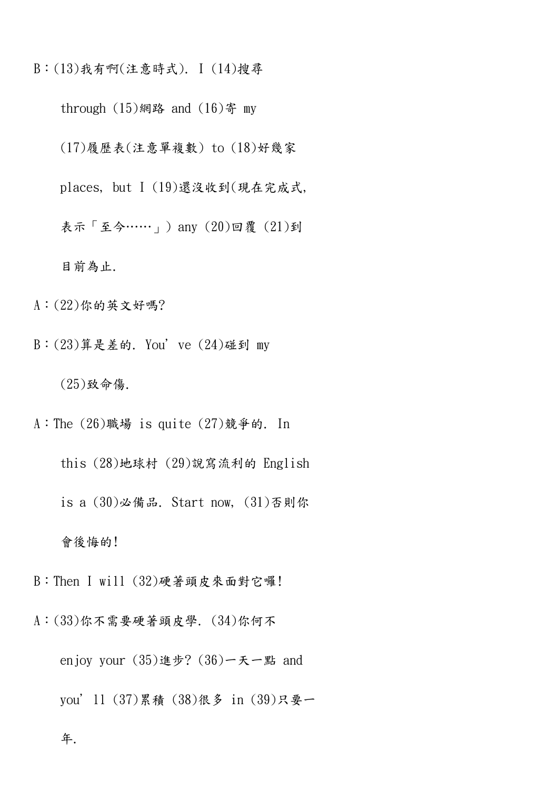B:(13)我有啊(注意時式). I (14)搜尋

through  $(15)$ 網路 and  $(16)$ 寄 my

(17)履歷表(注意單複數) to (18)好幾家

places, but I (19)還沒收到(現在完成式,

表示「至今……」) any (20)回覆 (21)到

目前為止.

A:(22)你的英文好嗎?

B:(23)算是差的. You've (24)碰到 my

(25)致命傷.

A:The (26)職場 is quite (27)競爭的. In

 this (28)地球村 (29)說寫流利的 English is a (30)必備品. Start now, (31)否則你

會後悔的!

B:Then I will (32)硬著頭皮來面對它囉!

A:(33)你不需要硬著頭皮學. (34)你何不

 enjoy your (35)進步? (36)一天一點 and you'll (37)累積 (38)很多 in (39)只要一

年.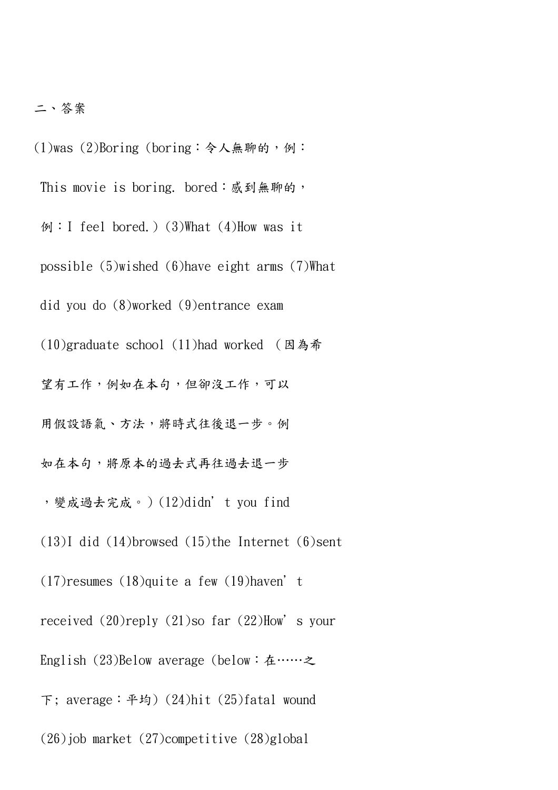## 二、答案

- (1)was (2)Boring (boring:令人無聊的,例:
	- This movie is boring. bored: 感到無聊的,
	- 例:I feel bored.) (3)What (4)How was it
	- possible (5)wished (6)have eight arms (7)What
	- did you do (8)worked (9)entrance exam
	- (10)graduate school (11)had worked (因為希
	- 望有工作,例如在本句,但卻沒工作,可以
	- 用假設語氣、方法,將時式往後退一步。例
	- 如在本句,將原本的過去式再往過去退一步
	- ,變成過去完成。)(12)didn't you find
	- (13)I did (14)browsed (15)the Internet (6)sent
	- $(17)$ resumes  $(18)$ quite a few  $(19)$ haven't
	- received  $(20)$ reply  $(21)$ so far  $(22)$ How's your
	- English (23)Below average (below:在……之
	- 下; average:平均) (24)hit (25)fatal wound
	- (26)job market (27)competitive (28)global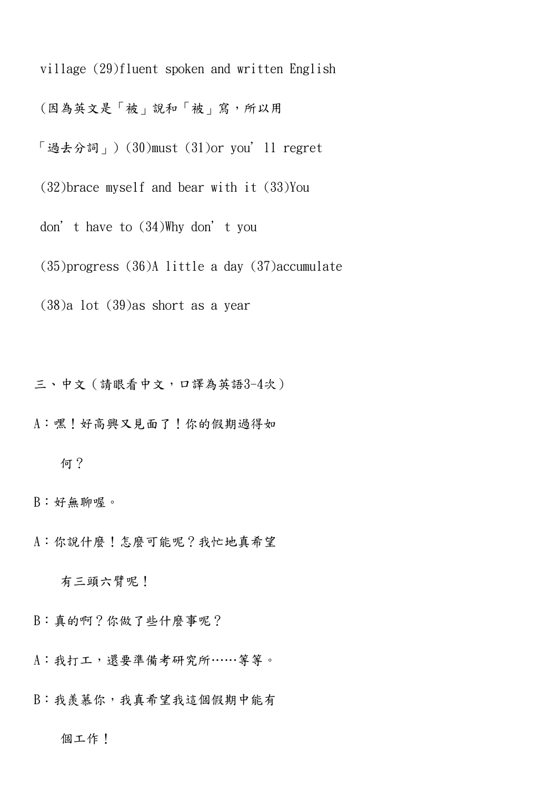village (29)fluent spoken and written English

(因為英文是「被」說和「被」寫,所以用

「過去分詞」) (30)must (31)or you'll regret

(32)brace myself and bear with it (33)You

don't have to (34)Why don't you

(35)progress (36)A little a day (37)accumulate

(38)a lot (39)as short as a year

三、中文(請眼看中文,口譯為英語3-4次)

A:嘿!好高興又見面了!你的假期過得如

#### 何?

B:好無聊喔。

A:你說什麼!怎麼可能呢?我忙地真希望

有三頭六臂呢!

B:真的啊?你做了些什麼事呢?

A:我打工,還要準備考研究所……等等。

B:我羨慕你,我真希望我這個假期中能有

#### 個工作!